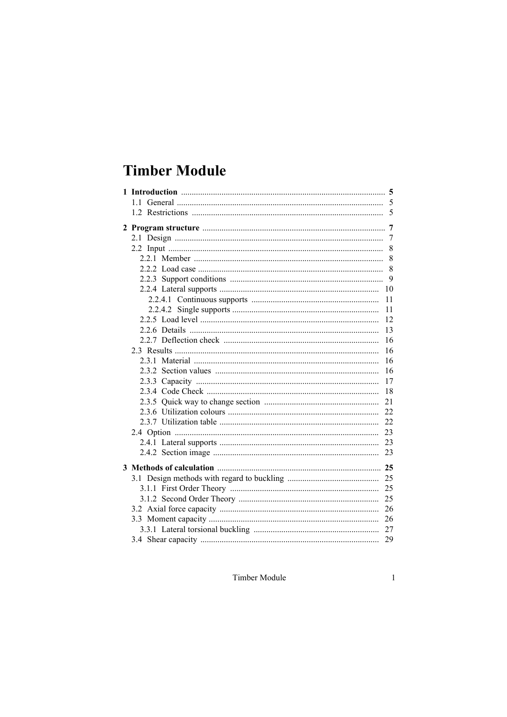# **Timber Module**

|  | 5   |
|--|-----|
|  |     |
|  |     |
|  |     |
|  |     |
|  |     |
|  |     |
|  |     |
|  | 11  |
|  | 11  |
|  | 12  |
|  | 13  |
|  | 16  |
|  | 16  |
|  | 16  |
|  | 16  |
|  | 17  |
|  | 18  |
|  | 21  |
|  | 22  |
|  | 22  |
|  | 23  |
|  | 23  |
|  | 23  |
|  |     |
|  |     |
|  |     |
|  |     |
|  | -26 |
|  |     |
|  |     |
|  | 29  |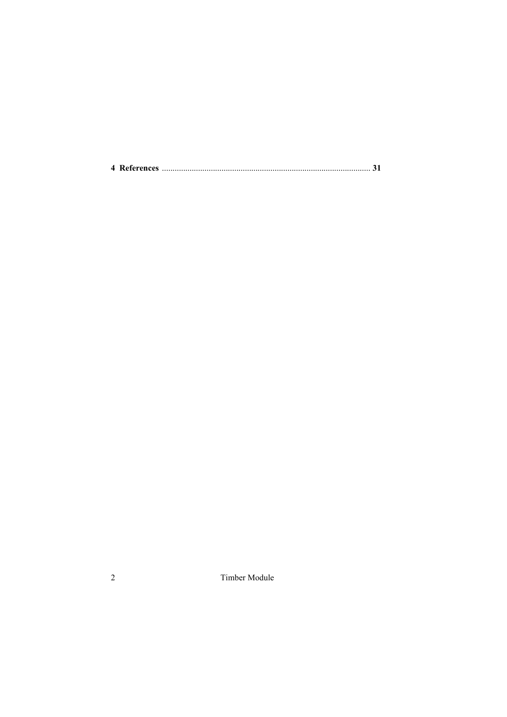|--|--|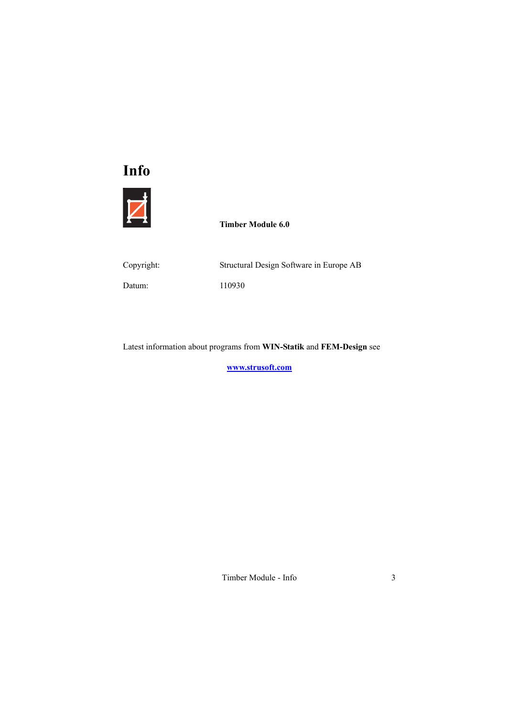# **Info**



**Timber Module 6.0**

| Copyright: | Structural Design Software in Europe AB |
|------------|-----------------------------------------|
|            |                                         |

Datum: 110930

#### Latest information about programs from **WIN-Statik** and **FEM-Design** see

**www.strusoft.com**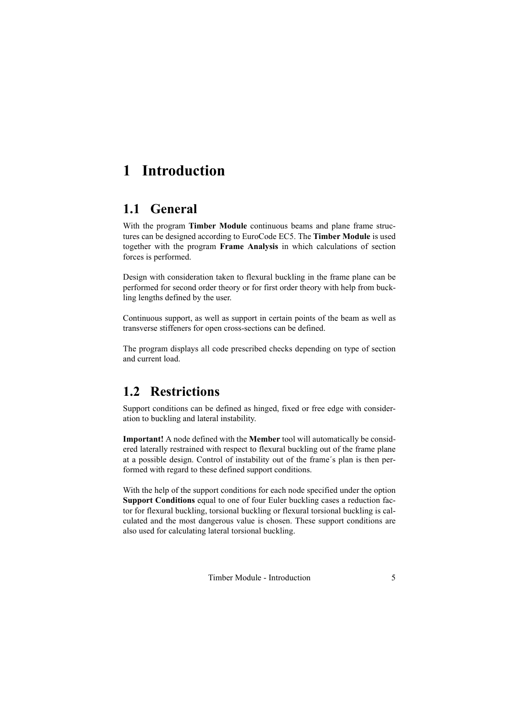# <span id="page-4-0"></span>**1 Introduction**

# **1.1 General**

With the program **Timber Module** continuous beams and plane frame structures can be designed according to EuroCode EC5. The **Timber Module** is used together with the program **Frame Analysis** in which calculations of section forces is performed.

Design with consideration taken to flexural buckling in the frame plane can be performed for second order theory or for first order theory with help from buckling lengths defined by the user.

Continuous support, as well as support in certain points of the beam as well as transverse stiffeners for open cross-sections can be defined.

The program displays all code prescribed checks depending on type of section and current load.

# **1.2 Restrictions**

Support conditions can be defined as hinged, fixed or free edge with consideration to buckling and lateral instability.

**Important!** A node defined with the **Member** tool will automatically be considered laterally restrained with respect to flexural buckling out of the frame plane at a possible design. Control of instability out of the frame´s plan is then performed with regard to these defined support conditions.

With the help of the support conditions for each node specified under the option **Support Conditions** equal to one of four Euler buckling cases a reduction factor for flexural buckling, torsional buckling or flexural torsional buckling is calculated and the most dangerous value is chosen. These support conditions are also used for calculating lateral torsional buckling.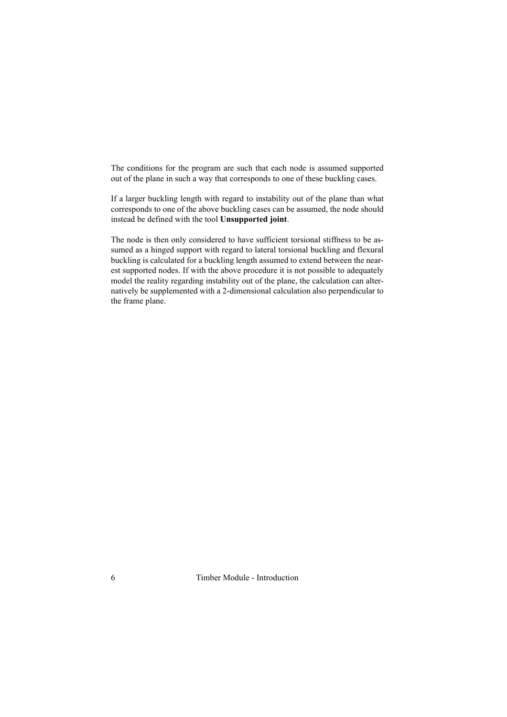The conditions for the program are such that each node is assumed supported out of the plane in such a way that corresponds to one of these buckling cases.

If a larger buckling length with regard to instability out of the plane than what corresponds to one of the above buckling cases can be assumed, the node should instead be defined with the tool **Unsupported joint**.

The node is then only considered to have sufficient torsional stiffness to be assumed as a hinged support with regard to lateral torsional buckling and flexural buckling is calculated for a buckling length assumed to extend between the nearest supported nodes. If with the above procedure it is not possible to adequately model the reality regarding instability out of the plane, the calculation can alternatively be supplemented with a 2-dimensional calculation also perpendicular to the frame plane.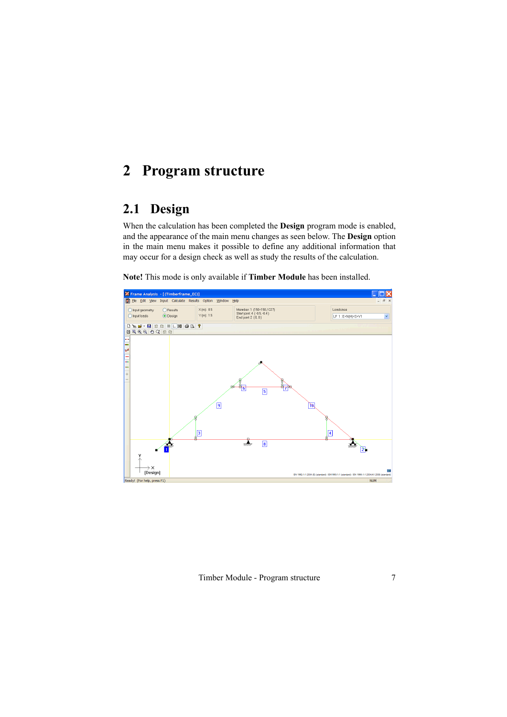# <span id="page-6-0"></span>**2 Program structure**

# **2.1 Design**

When the calculation has been completed the **Design** program mode is enabled, and the appearance of the main menu changes as seen below. The **Design** option in the main menu makes it possible to define any additional information that may occur for a design check as well as study the results of the calculation.

**Note!** This mode is only available if **Timber Module** has been installed.

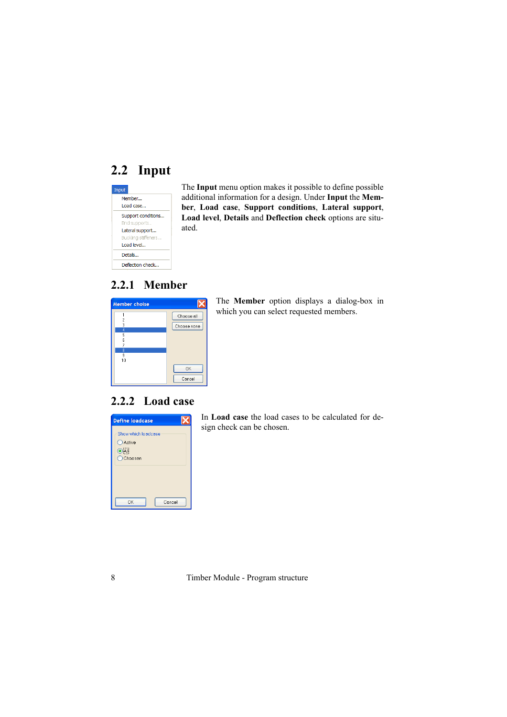# <span id="page-7-0"></span>**2.2 Input**



The **Input** menu option makes it possible to define possible additional information for a design. Under **Input** the **Member**, **Load case**, **Support conditions**, **Lateral support**, **Load level**, **Details** and **Deflection check** options are situated.

## **2.2.1 Member**



The **Member** option displays a dialog-box in which you can select requested members.

#### **2.2.2 Load case**

| <b>Define loadcase</b>                                     |  |  |  |  |  |
|------------------------------------------------------------|--|--|--|--|--|
| Show which loadcase<br>Active<br>$\bigodot$ All<br>Choosen |  |  |  |  |  |
| OK<br>Cancel                                               |  |  |  |  |  |

In **Load case** the load cases to be calculated for design check can be chosen.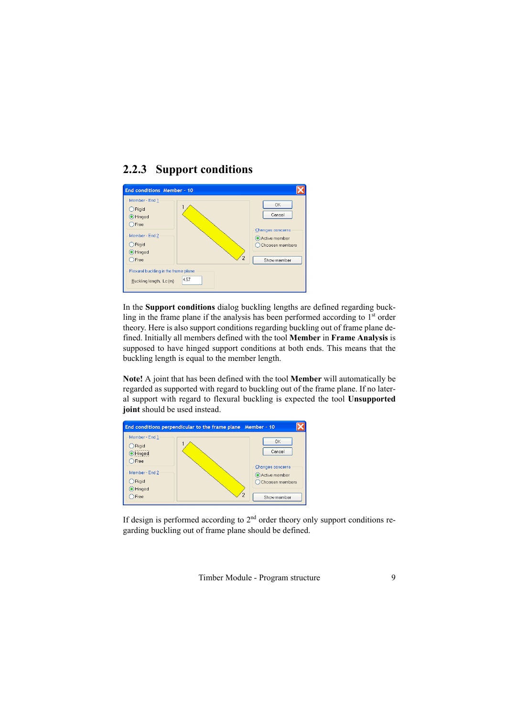## <span id="page-8-0"></span>**2.2.3 Support conditions**

| End conditions Member - 10                                                                  |      |                                                                      |  |  |  |
|---------------------------------------------------------------------------------------------|------|----------------------------------------------------------------------|--|--|--|
| Member - End 1<br>Rigid<br>O Hinged<br><b>O</b> Free<br>Member - End 2<br>Rigid<br>● Hinged |      | OK<br>Cancel<br>Changes concerns<br>Active member<br>Choosen members |  |  |  |
| $\bigcirc$ Free<br>Flexural buckling in the frame plane<br>Buckling length, Lc (m)          | 4.57 | Show member                                                          |  |  |  |

In the **Support conditions** dialog buckling lengths are defined regarding buckling in the frame plane if the analysis has been performed according to  $1<sup>st</sup>$  order theory. Here is also support conditions regarding buckling out of frame plane defined. Initially all members defined with the tool **Member** in **Frame Analysis** is supposed to have hinged support conditions at both ends. This means that the buckling length is equal to the member length.

**Note!** A joint that has been defined with the tool **Member** will automatically be regarded as supported with regard to buckling out of the frame plane. If no lateral support with regard to flexural buckling is expected the tool **Unsupported joint** should be used instead.



If design is performed according to  $2<sup>nd</sup>$  order theory only support conditions regarding buckling out of frame plane should be defined.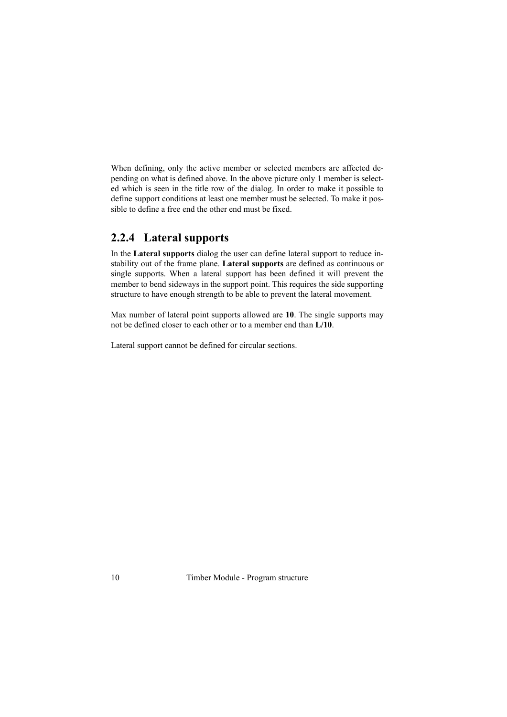<span id="page-9-0"></span>When defining, only the active member or selected members are affected depending on what is defined above. In the above picture only 1 member is selected which is seen in the title row of the dialog. In order to make it possible to define support conditions at least one member must be selected. To make it possible to define a free end the other end must be fixed.

## **2.2.4 Lateral supports**

In the **Lateral supports** dialog the user can define lateral support to reduce instability out of the frame plane. **Lateral supports** are defined as continuous or single supports. When a lateral support has been defined it will prevent the member to bend sideways in the support point. This requires the side supporting structure to have enough strength to be able to prevent the lateral movement.

Max number of lateral point supports allowed are **10**. The single supports may not be defined closer to each other or to a member end than **L/10**.

Lateral support cannot be defined for circular sections.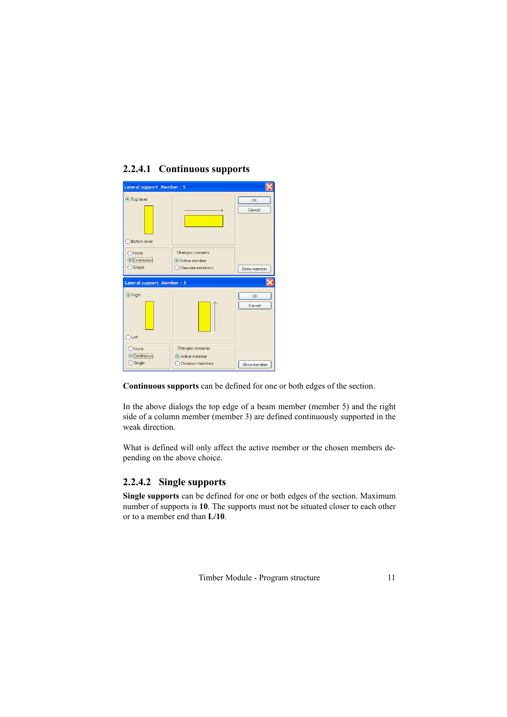

### <span id="page-10-0"></span>**2.2.4.1 Continuous supports**

**Continuous supports** can be defined for one or both edges of the section.

In the above dialogs the top edge of a beam member (member 5) and the right side of a column member (member 3) are defined continuously supported in the weak direction.

What is defined will only affect the active member or the chosen members depending on the above choice.

#### **2.2.4.2 Single supports**

**Single supports** can be defined for one or both edges of the section. Maximum number of supports is **10**. The supports must not be situated closer to each other or to a member end than **L/10**.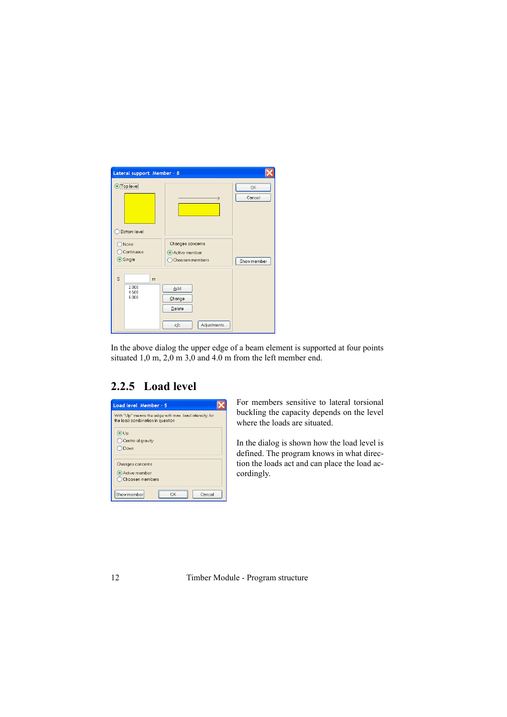<span id="page-11-0"></span>

|                                         | Lateral support Member - 8         |                                                      |              |
|-----------------------------------------|------------------------------------|------------------------------------------------------|--------------|
|                                         | <b>O</b> Top level<br>Bottom level |                                                      | OK<br>Cancel |
| None<br>Continuous<br>$\bigcirc$ Single |                                    | Changes concerns<br>Active member<br>Choosen members | Show member  |
| S                                       | m<br>2.000<br>4.500<br>6.000       | Add<br>Change<br>Delete<br>Adjustments<br>c/c        |              |

In the above dialog the upper edge of a beam element is supported at four points situated 1,0 m, 2,0 m 3,0 and 4.0 m from the left member end.

### **2.2.5 Load level**

| Load level Member - 5                                                                      |  |
|--------------------------------------------------------------------------------------------|--|
| With "Up" means the edge with max. load intensity, for<br>the load combination in question |  |
| OUp<br>Centre of gravity<br>Down                                                           |  |
| Changes concerns<br>Active member<br>Choosen members                                       |  |
| Show member<br>Cancel                                                                      |  |

For members sensitive to lateral torsional buckling the capacity depends on the level where the loads are situated.

In the dialog is shown how the load level is defined. The program knows in what direction the loads act and can place the load accordingly.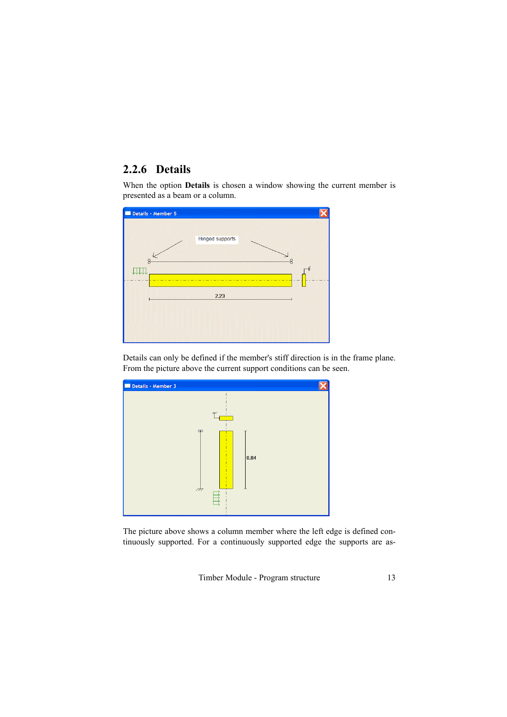## <span id="page-12-0"></span>**2.2.6 Details**

When the option **Details** is chosen a window showing the current member is presented as a beam or a column.



Details can only be defined if the member's stiff direction is in the frame plane. From the picture above the current support conditions can be seen.



The picture above shows a column member where the left edge is defined continuously supported. For a continuously supported edge the supports are as-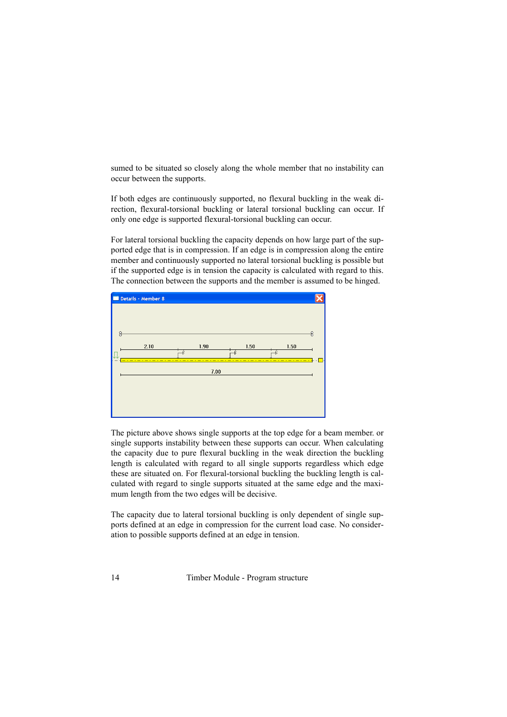sumed to be situated so closely along the whole member that no instability can occur between the supports.

If both edges are continuously supported, no flexural buckling in the weak direction, flexural-torsional buckling or lateral torsional buckling can occur. If only one edge is supported flexural-torsional buckling can occur.

For lateral torsional buckling the capacity depends on how large part of the supported edge that is in compression. If an edge is in compression along the entire member and continuously supported no lateral torsional buckling is possible but if the supported edge is in tension the capacity is calculated with regard to this. The connection between the supports and the member is assumed to be hinged.



The picture above shows single supports at the top edge for a beam member. or single supports instability between these supports can occur. When calculating the capacity due to pure flexural buckling in the weak direction the buckling length is calculated with regard to all single supports regardless which edge these are situated on. For flexural-torsional buckling the buckling length is calculated with regard to single supports situated at the same edge and the maximum length from the two edges will be decisive.

The capacity due to lateral torsional buckling is only dependent of single supports defined at an edge in compression for the current load case. No consideration to possible supports defined at an edge in tension.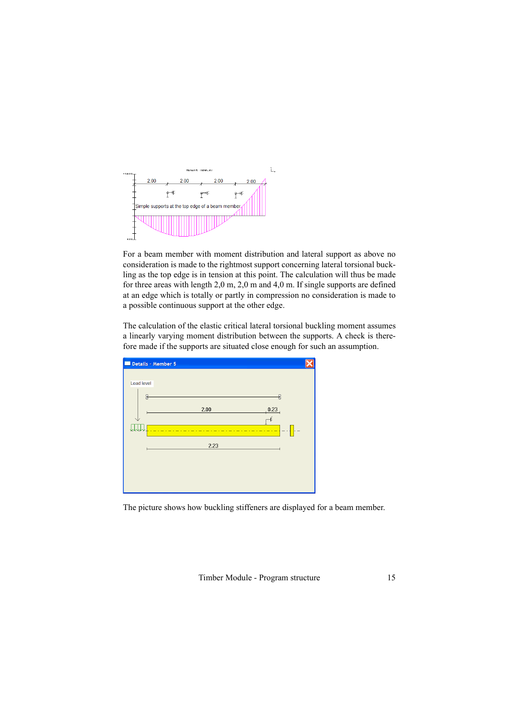

For a beam member with moment distribution and lateral support as above no consideration is made to the rightmost support concerning lateral torsional buckling as the top edge is in tension at this point. The calculation will thus be made for three areas with length 2,0 m, 2,0 m and 4,0 m. If single supports are defined at an edge which is totally or partly in compression no consideration is made to a possible continuous support at the other edge.

The calculation of the elastic critical lateral torsional buckling moment assumes a linearly varying moment distribution between the supports. A check is therefore made if the supports are situated close enough for such an assumption.

| Details - Member 5                     |
|----------------------------------------|
| Load level<br>₽<br>8<br>2.00<br>, 0.23 |
| 2.23                                   |
|                                        |

The picture shows how buckling stiffeners are displayed for a beam member.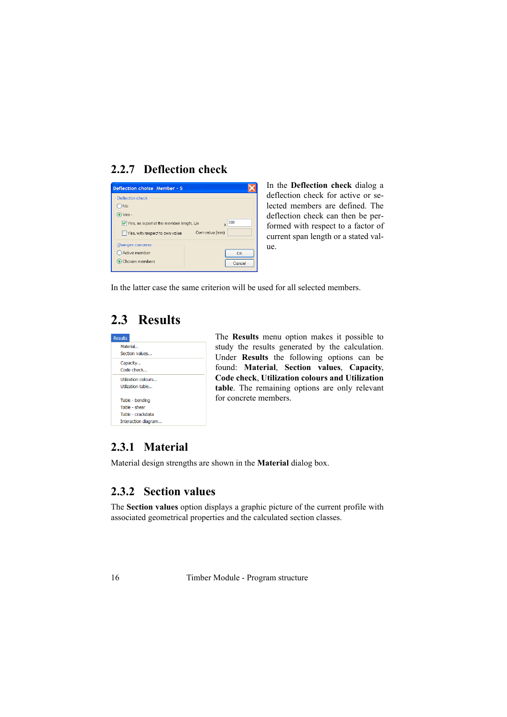## <span id="page-15-0"></span>**2.2.7 Deflection check**



In the **Deflection check** dialog a deflection check for active or selected members are defined. The deflection check can then be performed with respect to a factor of current span length or a stated value.

In the latter case the same criterion will be used for all selected members.

## **2.3 Results**



The **Results** menu option makes it possible to study the results generated by the calculation. Under **Results** the following options can be found: **Material**, **Section values**, **Capacity**, **Code check**, **Utilization colours and Utilization table**. The remaining options are only relevant for concrete members.

## **2.3.1 Material**

Material design strengths are shown in the **Material** dialog box.

#### **2.3.2 Section values**

The **Section values** option displays a graphic picture of the current profile with associated geometrical properties and the calculated section classes.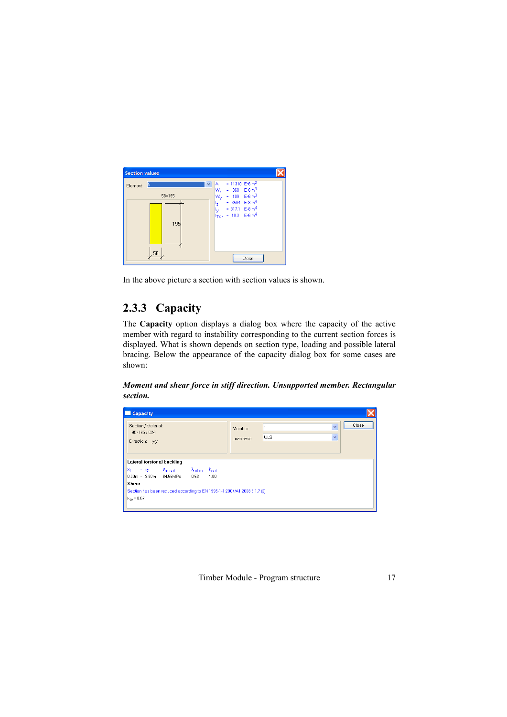<span id="page-16-0"></span>

| <b>Section values</b> |                    |                                                                                                                                                                                                                                                 |
|-----------------------|--------------------|-------------------------------------------------------------------------------------------------------------------------------------------------------------------------------------------------------------------------------------------------|
| Element:              | 5<br>58×195<br>195 | = 11310 E-6 $m^2$<br>IA.<br>$\checkmark$<br>$W_7$ = 368 E-6 m <sup>3</sup><br>$W_V$ = 109 E-6 m <sup>3</sup><br>$= 3584$ E-8 m <sup>4</sup><br>l <sub>z</sub><br>$V_y$ = 317.1 E-8 m <sup>4</sup><br>$r_{\text{Tor}}$ = 10.3 E-6 m <sup>4</sup> |
|                       | 58                 | Close                                                                                                                                                                                                                                           |

In the above picture a section with section values is shown.

### **2.3.3 Capacity**

The **Capacity** option displays a dialog box where the capacity of the active member with regard to instability corresponding to the current section forces is displayed. What is shown depends on section type, loading and possible lateral bracing. Below the appearance of the capacity dialog box for some cases are shown:

*Moment and shear force in stiff direction. Unsupported member. Rectangular section.*

| Capacity<br>l. I                                                                                                                    |                                                       |  |  |  |
|-------------------------------------------------------------------------------------------------------------------------------------|-------------------------------------------------------|--|--|--|
| Section / Material:<br>95×195 / C24<br>Direction: y-y                                                                               | Close<br>v<br>Member:<br>v<br><b>ULS</b><br>Loadcase: |  |  |  |
| Lateral torsional buckling                                                                                                          |                                                       |  |  |  |
| k <sub>crit</sub><br>$- x_2$<br>$\sigma_{\text{m, crit}}$ $\lambda_{\text{rel,m}}$<br>l×1<br>0.00m - 3.90m 84.55MPa<br>1.00<br>0.53 |                                                       |  |  |  |
| <b>Shear</b>                                                                                                                        |                                                       |  |  |  |
| Section has been reduced according to EN 1995-1-1:2004/A1:2008 6.1.7 (2)                                                            |                                                       |  |  |  |
| $k_{cr} = 0.67$                                                                                                                     |                                                       |  |  |  |
|                                                                                                                                     |                                                       |  |  |  |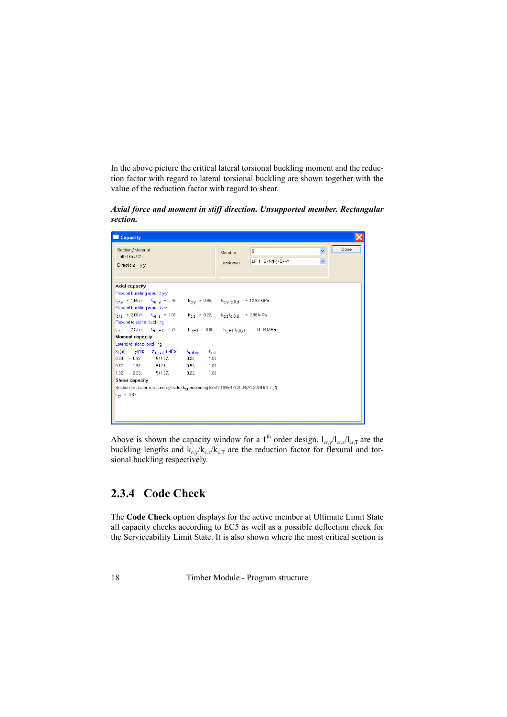<span id="page-17-0"></span>In the above picture the critical lateral torsional buckling moment and the reduction factor with regard to lateral torsional buckling are shown together with the value of the reduction factor with regard to shear.

*Axial force and moment in stiff direction. Unsupported member. Rectangular section.*

```
Capacity
  Section / Material:
                                                                                                                                                    Close
                                                                                         ls.
                                                                                                                                      \ddotmarkMember
   58×195 / C27
                                                                                        LF 1: E+N(H)+S+V1
                                                                                                                                      \ddotmarkLoadcase:
  Direction: y-y
 Axial capacity
 Flexural buckling around y-y
 I_{\text{cr,V}} = 1.60 \text{ m}. \lambda_{\text{rel,V}} = 0.48.k_{C,V} = 0.95, k_{C,V}f_{C,0,d} = 12.93 MPa
 Flexural buckling around z-z
                                           k_{C,Z} = 0.22, k_{C,Z}<sup>+</sup><sub>C-0.d</sub> = 2.96 MPa
 |I_{\text{cr,z}}| = 2.00 \text{ m}. \lambda_{\text{rel,z}} = 2.03.Flexural torsional buckling
 \vert_{\text{Cr},T} = 2.23 m, \lambda_{\text{rel},FT} = 0.76, \vert k_{\text{C},FT} = 0.85, \vert k_{\text{C},FT}f_{\text{C},0,\text{d}} = 11.44 MPa
 Moment capacity
Lateral torsional buckling
 x_1(m) - x_2(m) = \sigma_{m,\text{crit}} (MPa), \lambda_{\text{rel},m}k<sub>crit</sub>
\begin{bmatrix} 0.00 & - & 0.32 \\ 0.32 & - & 1.92 \end{bmatrix} 541.07,
                                            0.22,1.00
                         91.06,
                                             0.54,1.001.92 - 2.23: 541.07,
                                             0.22,1.00Shear capacity
 Section has been reduced by factor k<sub>or</sub> according to EN 1995-1-1:2004/A1:2008 6.1.7 (2)
 k_{cr} = 0.67
```
Above is shown the capacity window for a 1<sup>th</sup> order design.  $l_{\rm cr} l_{\rm cr} l_{\rm cr}$  are the buckling lengths and  $k_c\sqrt{k_c\gamma}$  are the reduction factor for flexural and torsional buckling respectively.

#### **2.3.4 Code Check**

The **Code Check** option displays for the active member at Ultimate Limit State all capacity checks according to EC5 as well as a possible deflection check for the Serviceability Limit State. It is also shown where the most critical section is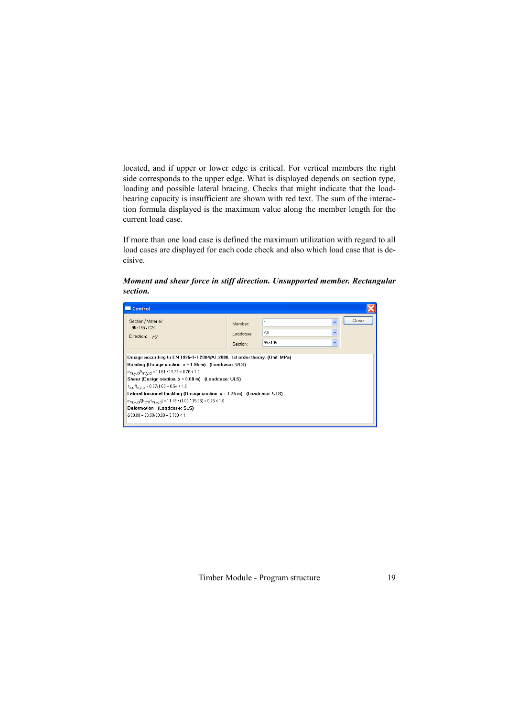located, and if upper or lower edge is critical. For vertical members the right side corresponds to the upper edge. What is displayed depends on section type, loading and possible lateral bracing. Checks that might indicate that the loadbearing capacity is insufficient are shown with red text. The sum of the interaction formula displayed is the maximum value along the member length for the current load case.

If more than one load case is defined the maximum utilization with regard to all load cases are displayed for each code check and also which load case that is decisive.

*Moment and shear force in stiff direction. Unsupported member. Rectangular section.*

| Control                                                                                                                                                                                                                                                                                                                                                                                                                                                                                                                                                                                                 |                                  |                                                               |       |  |
|---------------------------------------------------------------------------------------------------------------------------------------------------------------------------------------------------------------------------------------------------------------------------------------------------------------------------------------------------------------------------------------------------------------------------------------------------------------------------------------------------------------------------------------------------------------------------------------------------------|----------------------------------|---------------------------------------------------------------|-------|--|
| Section / Material:<br>95×195 / C24<br>Direction: y-y                                                                                                                                                                                                                                                                                                                                                                                                                                                                                                                                                   | Member:<br>Loadcase:<br>Section: | $\checkmark$<br>All<br>$\checkmark$<br>95×195<br>$\checkmark$ | Close |  |
| Design according to EN 1995-1-1:2004/A1:2008, 1st order theory. (Unit: MPa)<br>Bending (Design section, x = 1.95 m) (Loadcase: ULS)<br>$\sigma_{\text{m.v. d}}/\text{f}_{\text{m.v. d}}$ = 11.61 / 15.36 = 0.76 < 1.0<br>Shear (Design section, x = 0.00 m) (Loadcase: ULS)<br>$\tau$ <sub>7</sub> d/f <sub>V</sub> $_7$ d = 0.87/1.60 = 0.54 < 1.0<br>Lateral torsional buckling (Design section, x = 1.75 m) (Loadcase: ULS)<br>$\sigma_{\text{m},V,0}/(k_{\text{crit}}t_{\text{m},V,0})$ = 11.49 / (1.00 * 15.36) = 0.75 < 1.0<br>Deformation (Loadcase: SLS)<br>$6/30.00 = 20.99/30.00 = 0.700 < 1$ |                                  |                                                               |       |  |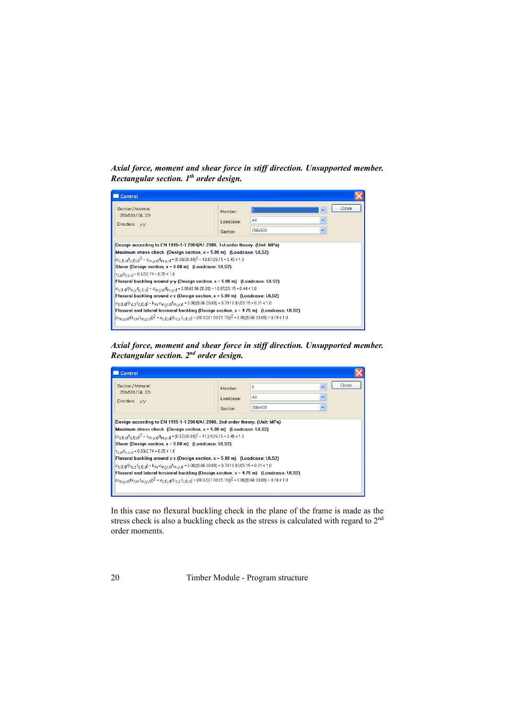#### *Axial force, moment and shear force in stiff direction. Unsupported member. Rectangular section. 1th order design.*

| <b>Control</b>                                                                                                                                                                                                                                                                                                                                                                                                                                                                                                                                                                                                                                                                                                                                                                                                                                                                                                                                                                                                                                                                                                                                                                                                                                                                                                            |                                 |                |                                 |  |  |
|---------------------------------------------------------------------------------------------------------------------------------------------------------------------------------------------------------------------------------------------------------------------------------------------------------------------------------------------------------------------------------------------------------------------------------------------------------------------------------------------------------------------------------------------------------------------------------------------------------------------------------------------------------------------------------------------------------------------------------------------------------------------------------------------------------------------------------------------------------------------------------------------------------------------------------------------------------------------------------------------------------------------------------------------------------------------------------------------------------------------------------------------------------------------------------------------------------------------------------------------------------------------------------------------------------------------------|---------------------------------|----------------|---------------------------------|--|--|
| Section / Material:<br>250x500 / GL 32h<br>Direction: v-v                                                                                                                                                                                                                                                                                                                                                                                                                                                                                                                                                                                                                                                                                                                                                                                                                                                                                                                                                                                                                                                                                                                                                                                                                                                                 | Memher<br>Loadcase:<br>Section: | All<br>250x500 | Close<br>Ÿ<br>$\checkmark$<br>v |  |  |
| Design according to EN 1995-1-1:2004/A1:2008, 1st order theory. (Unit: MPa)<br>Maximum stress check (Design section, $x = 5.00$ m) (Loadcase: ULS2)<br>$\left (\sigma_{\text{C},0,\text{d}}/t_{\text{C},0,\text{d}})^2 + \sigma_{\text{m},y,\text{d}}/t_{\text{m},y,\text{d}}\right  = (0.08/20.88)^2 + 10.87/25.15 = 0.43 < 1.0$<br>Shear (Design section, $x = 0.00$ m) (Loadcase: ULS2)<br>$\tau$ <sub>7</sub> d/t <sub>V</sub> <sub>7</sub> d = 0.67/2.74 = 0.25 < 1.0<br>Flexural buckling around $y-y$ (Design section, $x = 5.00$ m) (Loadcase: ULS2)<br>$\sigma_{\text{C,0,d}}/(k_{\text{C,V}}t_{\text{C,0,d}}) + \sigma_{\text{m,V,d}}\ell_{\text{m,V,d}} = 0.08/(0.96\cdot20.88) + 10.87/25.15 = 0.44 < 1.0$<br>Flexural buckling around z-z (Design section, x = 5.00 m) (Loadcase: ULS2)<br>$\sigma$ <sub>c.0.d</sub> /(k <sub>c.z</sub> f <sub>c.0.d</sub> ) + k <sub>m</sub> $\sigma$ <sub>m.v.d</sub> /f <sub>m.v.d</sub> = 0.08/(0.66/20.88) + 0.70/10.87/25.15 = 0.31 < 1.0<br>[Flexural and lateral torsional buckling (Design section, x = 4.75 m) (Loadcase: ULS2)<br>$\left (\sigma_{\text{m},y,\text{cl}}/(k_{\text{crit}}t_{\text{m},y,\text{cl}}))^2 + \sigma_{\text{c},0,\text{cl}}/(k_{\text{c},z}t_{\text{c},0,\text{cl}}) - (10.67/(1.00\cdot25.15))^2 + 0.08/(0.66\cdot20.88) - 0.19 < 1.04$ |                                 |                |                                 |  |  |

*Axial force, moment and shear force in stiff direction. Unsupported member. Rectangular section. 2nd order design.*

| Control                                                                                                                                                                                                                                                                                                                                                                                                                                                                                                                                                                                                                                                                                                                                                                                                                                                                                                                                                             |                                 |                |                                   |       |
|---------------------------------------------------------------------------------------------------------------------------------------------------------------------------------------------------------------------------------------------------------------------------------------------------------------------------------------------------------------------------------------------------------------------------------------------------------------------------------------------------------------------------------------------------------------------------------------------------------------------------------------------------------------------------------------------------------------------------------------------------------------------------------------------------------------------------------------------------------------------------------------------------------------------------------------------------------------------|---------------------------------|----------------|-----------------------------------|-------|
| Section / Material:<br>250x500 / GL 32h<br>Direction: v-v                                                                                                                                                                                                                                                                                                                                                                                                                                                                                                                                                                                                                                                                                                                                                                                                                                                                                                           | Member<br>Loadcase:<br>Section: | All<br>250x500 | $\checkmark$<br>$\checkmark$<br>× | Close |
| Design according to EN 1995-1-1:2004/A1:2008, 2nd order theory. (Unit: MPa)<br>Maximum stress check (Design section, x = 5.00 m) (Loadcase: ULS2)<br>$(\sigma_{\rm E,0,d}/f_{\rm E,0,d})^2 + \sigma_{\rm m,v,d}/f_{\rm m,v,d} = (0.07/20.88)^2 + 11.24/25.15 = 0.45 < 1.0$<br>Shear (Design section, $x = 0.00$ m) (Loadcase: ULS2)<br>$\tau$ <sub>7</sub> <sub>d</sub> /f <sub>V</sub> <sub>7</sub> d = 0.69/2.74 = 0.25 < 1.0<br>Flexural buckling around z-z (Design section, x = 5.00 m) (Loadcase: ULS2)<br>$\sigma_{\rm C,0,d}/(k_{\rm C,Z}t_{\rm C,0,d})+k_{\rm m}\cdot\sigma_{\rm m,V,d}/f_{\rm m,V,d}=0.08/(0.66\cdot20.88)+0.70\cdot10.87/25.15=0.31<1.0$<br>Flexural and lateral torsional buckling (Design section, x = 4.75 m) (Loadcase: ULS2)<br>$ (\sigma_{\text{m.v.d}}/(k_{\text{crit}}\tau_{\text{m.v.d}}))^2 + \sigma_{\text{c.0.d}}/(k_{\text{c.2}}\tau_{\text{c.0.d}}) = (10.67/(1.00 \cdot 25.15))^2 + 0.08/(0.66 \cdot 20.88) = 0.19 < 1.0$ |                                 |                |                                   |       |

In this case no flexural buckling check in the plane of the frame is made as the stress check is also a buckling check as the stress is calculated with regard to 2nd order moments.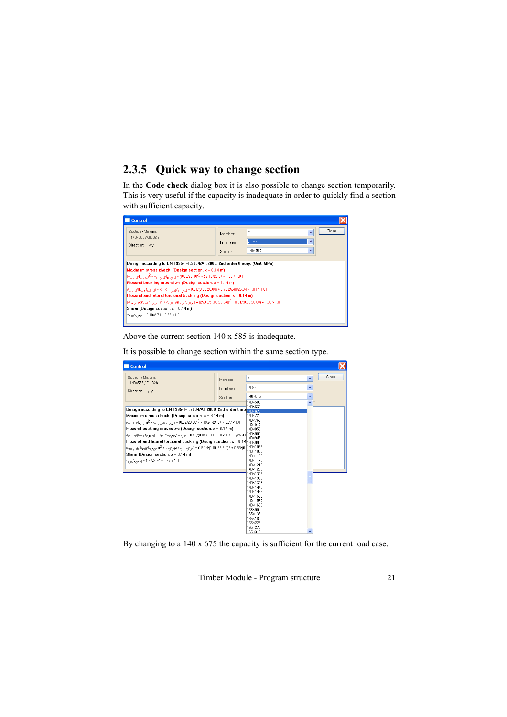## <span id="page-20-0"></span>**2.3.5 Quick way to change section**

In the **Code check** dialog box it is also possible to change section temporarily. This is very useful if the capacity is inadequate in order to quickly find a section with sufficient capacity.

| Control                                                                                                                                                                                                                                                                                                                                                                                                                                                                                                                                                                                                                                                                                                                                                                                                                                                                                              |                                 |                              |                                              |       |  |
|------------------------------------------------------------------------------------------------------------------------------------------------------------------------------------------------------------------------------------------------------------------------------------------------------------------------------------------------------------------------------------------------------------------------------------------------------------------------------------------------------------------------------------------------------------------------------------------------------------------------------------------------------------------------------------------------------------------------------------------------------------------------------------------------------------------------------------------------------------------------------------------------------|---------------------------------|------------------------------|----------------------------------------------|-------|--|
| Section / Material:<br>140×585 / GL 32h<br>Direction: y-y                                                                                                                                                                                                                                                                                                                                                                                                                                                                                                                                                                                                                                                                                                                                                                                                                                            | Member<br>Loadcase:<br>Section: | 2<br><b>JULS2</b><br>140×585 | $\checkmark$<br>$\checkmark$<br>$\checkmark$ | Close |  |
| Design according to EN 1995-1-1:2004/A1:2008, 2nd order theory. (Unit: MPa)<br>Maximum stress check (Design section, $x = 8.14$ m)<br>$(\sigma_{\text{c},0,d}/\sigma_{\text{c},0,d})^2 + \sigma_{\text{m},v,d}/\sigma_{\text{m},v,d} = (0.60/20.88)^2 + 26.10/25.34 = 1.03 > 1.01$<br>Flexural buckling around $z-z$ (Design section, $x = 8.14$ m)<br>$\sigma_{\rm c,0,d}/(k_{\rm c,2}t_{\rm c,0,d}) + k_{\rm m}\sigma_{\rm m,v,d}/l_{\rm m,v,d} = 0.61/(0.09\cdot20.88) + 0.70\cdot25.48/25.34 = 1.03 > 1.01$<br>Flexural and lateral torsional buckling (Design section, x = 8.14 m)<br>$ (\sigma_{\text{m.v. d}}/(k_{\text{crit}}\tau_{\text{m.v. d}}))^2 + \sigma_{\text{c}, 0, \text{d}}/(k_{\text{c}, z}\tau_{\text{c}, 0, \text{d}}) - (25.48/(1.0025.34))^2 + 0.61/(0.0920.88) = 1.33 > 1.01$<br>Shear (Design section, x = 8.14 m)<br>$\tau_{2,0}/t_{\rm V, Z,0}$ = 2.10/2.74 = 0.77 < 1.0 |                                 |                              |                                              |       |  |

Above the current section 140 x 585 is inadequate.

| Control                                                                                                                                                                           |           |                      |              |       |
|-----------------------------------------------------------------------------------------------------------------------------------------------------------------------------------|-----------|----------------------|--------------|-------|
| Section / Material:<br>140×585 / GL 32h                                                                                                                                           | Member:   | $\boldsymbol{2}$     | v            | Close |
| Direction: v-v                                                                                                                                                                    | Loadcase: | ULS2                 | ×            |       |
|                                                                                                                                                                                   | Section:  | 140×675              | $\checkmark$ |       |
|                                                                                                                                                                                   |           | 140×585              | ۸            |       |
| Design according to EN 1995-1-1:2004/A1:2008, 2nd order theo                                                                                                                      |           | 140×630              |              |       |
| Maximum stress check (Design section, $x = 8.14$ m)                                                                                                                               |           | 140×720              |              |       |
| $(\sigma_{\rm c,0,d}/\ell_{\rm c,0,d})^2 + \sigma_{\rm m,y,d}/\ell_{\rm m,y,d} = (0.52/20.88)^2 + 19.61/25.34 = 0.77 < 1.0$                                                       |           | 140×765              |              |       |
|                                                                                                                                                                                   |           | 140×810<br>140×855   |              |       |
| Flexural buckling around z-z (Design section, x = 8.14 m)                                                                                                                         |           |                      |              |       |
|                                                                                                                                                                                   |           | 140×945              |              |       |
| Flexural and lateral torsional buckling (Design section, $x = 8.14_{140 \times 990}$                                                                                              |           |                      |              |       |
| $ (\sigma_{\text{m.v.d}}/(k_{\text{crit}}t_{\text{m.v.d}}))^2 + \sigma_{\text{c.0.d}}/(k_{\text{c.2}}t_{\text{c.0.d}}) = (19.14/(1.00 \cdot 25.34))^2 + 0.53/(0.140 \times 1035)$ |           |                      |              |       |
| Shear (Design section, $x = 8.14$ m)                                                                                                                                              |           | 140×1080<br>140×1125 |              |       |
| $\tau$ <sub>7</sub> d/ $\tau$ <sub>v</sub> $_2$ d = 1.82/2.74 = 0.67 < 1.0                                                                                                        |           | 140×1170             |              |       |
|                                                                                                                                                                                   |           | 140×1215             |              |       |
|                                                                                                                                                                                   |           | 140×1260             |              |       |
|                                                                                                                                                                                   |           | 140×1305<br>140×1350 |              |       |
|                                                                                                                                                                                   |           | 140×1395             |              |       |
|                                                                                                                                                                                   |           | 140×1440             |              |       |
|                                                                                                                                                                                   |           | 140×1485             |              |       |
|                                                                                                                                                                                   |           | 140×1530<br>140×1575 |              |       |
|                                                                                                                                                                                   |           | 140×1620             |              |       |
|                                                                                                                                                                                   |           | 165×90               |              |       |
|                                                                                                                                                                                   |           | 165×135              |              |       |
|                                                                                                                                                                                   |           | 165×180              |              |       |
|                                                                                                                                                                                   |           | 165×225<br>165×270   |              |       |
|                                                                                                                                                                                   |           | 165×315              |              |       |

It is possible to change section within the same section type.

By changing to a 140 x 675 the capacity is sufficient for the current load case.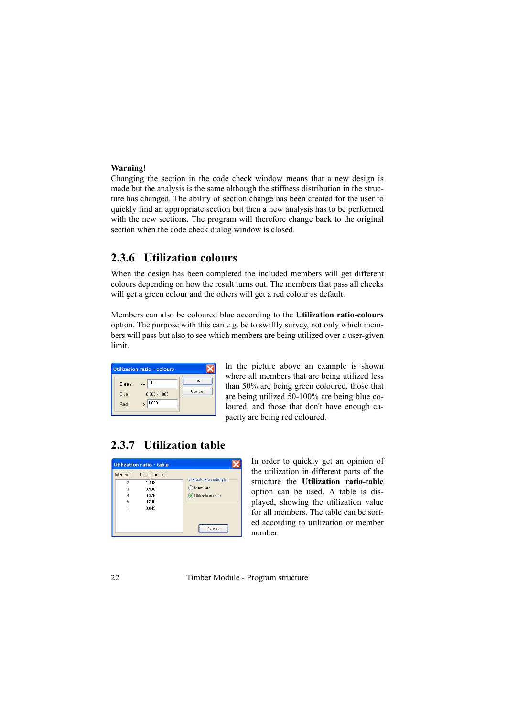#### <span id="page-21-0"></span>**Warning!**

Changing the section in the code check window means that a new design is made but the analysis is the same although the stiffness distribution in the structure has changed. The ability of section change has been created for the user to quickly find an appropriate section but then a new analysis has to be performed with the new sections. The program will therefore change back to the original section when the code check dialog window is closed.

#### **2.3.6 Utilization colours**

When the design has been completed the included members will get different colours depending on how the result turns out. The members that pass all checks will get a green colour and the others will get a red colour as default.

Members can also be coloured blue according to the **Utilization ratio-colours** option. The purpose with this can e.g. be to swiftly survey, not only which members will pass but also to see which members are being utilized over a user-given limit.

| Utilization ratio - colours                                        |              |  |
|--------------------------------------------------------------------|--------------|--|
| $\epsilon$ 0.5<br>Green<br>$0.500 - 1.000$<br>Blue<br>1.000<br>Red | OK<br>Cancel |  |

In the picture above an example is shown where all members that are being utilized less than 50% are being green coloured, those that are being utilized 50-100% are being blue coloured, and those that don't have enough capacity are being red coloured.

## **2.3.7 Utilization table**

|        | Utilization ratio - table |                             |
|--------|---------------------------|-----------------------------|
| Member | Utilization ratio         |                             |
| 2      | 1.498                     | Classify according to       |
| 3      | n 998                     | Member                      |
|        | ft 376                    | Utilization ratio           |
| 5      | 0.200                     |                             |
|        | 0.049                     |                             |
|        |                           |                             |
|        |                           |                             |
|        |                           | ------------------<br>Close |
|        |                           |                             |

In order to quickly get an opinion of the utilization in different parts of the structure the **Utilization ratio-table** option can be used. A table is displayed, showing the utilization value for all members. The table can be sorted according to utilization or member number.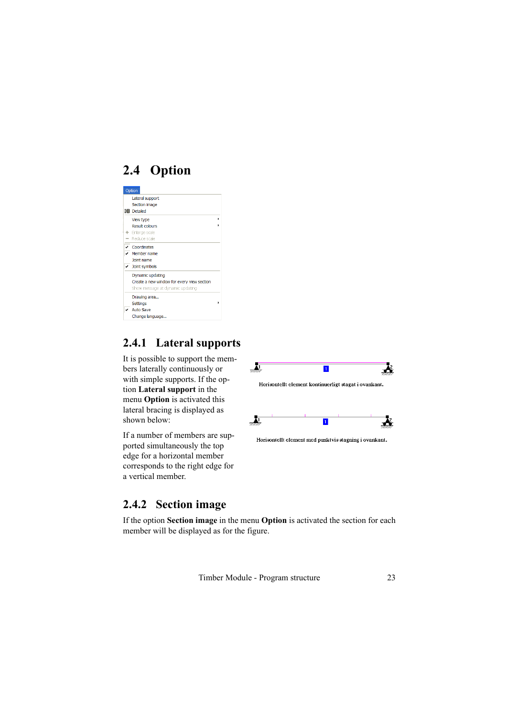# <span id="page-22-0"></span>**2.4 Option**



## **2.4.1 Lateral supports**

It is possible to support the members laterally continuously or with simple supports. If the option **Lateral support** in the menu **Option** is activated this lateral bracing is displayed as shown below:

If a number of members are supported simultaneously the top edge for a horizontal member corresponds to the right edge for a vertical member.

#### $\frac{1}{2}$  $\overline{1}$ Horisontellt element kontinuerligt stagat i ovankant.



Horisontellt element med punktvis stagning i ovankant.

## **2.4.2 Section image**

If the option **Section image** in the menu **Option** is activated the section for each member will be displayed as for the figure.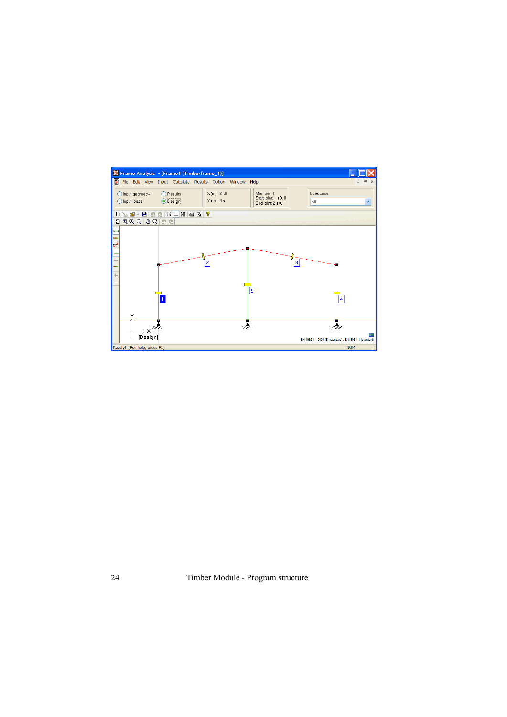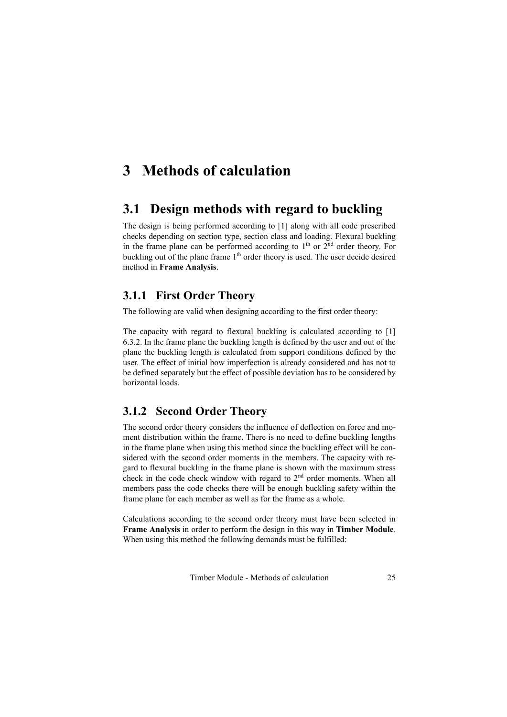# <span id="page-24-0"></span>**3 Methods of calculation**

## **3.1 Design methods with regard to buckling**

The design is being performed according to [1] along with all code prescribed checks depending on section type, section class and loading. Flexural buckling in the frame plane can be performed according to  $1<sup>th</sup>$  or  $2<sup>nd</sup>$  order theory. For buckling out of the plane frame  $1<sup>th</sup>$  order theory is used. The user decide desired method in **Frame Analysis**.

#### **3.1.1 First Order Theory**

The following are valid when designing according to the first order theory:

The capacity with regard to flexural buckling is calculated according to [1] 6.3.2. In the frame plane the buckling length is defined by the user and out of the plane the buckling length is calculated from support conditions defined by the user. The effect of initial bow imperfection is already considered and has not to be defined separately but the effect of possible deviation has to be considered by horizontal loads.

### **3.1.2 Second Order Theory**

The second order theory considers the influence of deflection on force and moment distribution within the frame. There is no need to define buckling lengths in the frame plane when using this method since the buckling effect will be considered with the second order moments in the members. The capacity with regard to flexural buckling in the frame plane is shown with the maximum stress check in the code check window with regard to  $2<sup>nd</sup>$  order moments. When all members pass the code checks there will be enough buckling safety within the frame plane for each member as well as for the frame as a whole.

Calculations according to the second order theory must have been selected in **Frame Analysis** in order to perform the design in this way in **Timber Module**. When using this method the following demands must be fulfilled: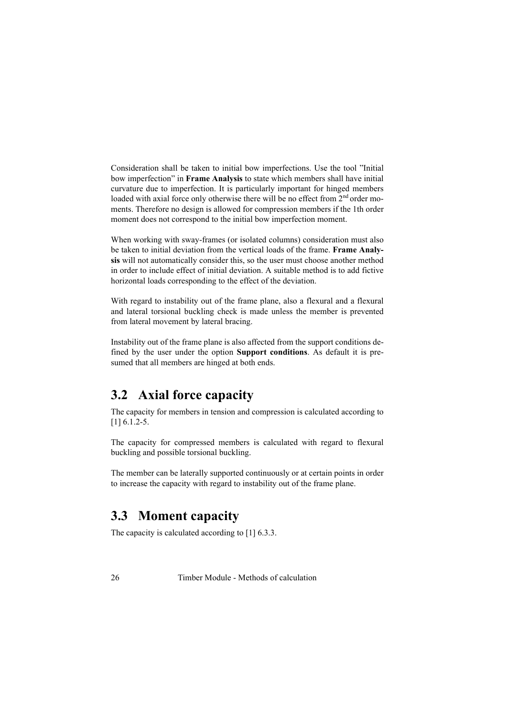<span id="page-25-0"></span>Consideration shall be taken to initial bow imperfections. Use the tool "Initial bow imperfection" in **Frame Analysis** to state which members shall have initial curvature due to imperfection. It is particularly important for hinged members loaded with axial force only otherwise there will be no effect from 2<sup>nd</sup> order moments. Therefore no design is allowed for compression members if the 1th order moment does not correspond to the initial bow imperfection moment.

When working with sway-frames (or isolated columns) consideration must also be taken to initial deviation from the vertical loads of the frame. **Frame Analysis** will not automatically consider this, so the user must choose another method in order to include effect of initial deviation. A suitable method is to add fictive horizontal loads corresponding to the effect of the deviation.

With regard to instability out of the frame plane, also a flexural and a flexural and lateral torsional buckling check is made unless the member is prevented from lateral movement by lateral bracing.

Instability out of the frame plane is also affected from the support conditions defined by the user under the option **Support conditions**. As default it is presumed that all members are hinged at both ends.

# **3.2 Axial force capacity**

The capacity for members in tension and compression is calculated according to [1] 6.1.2-5.

The capacity for compressed members is calculated with regard to flexural buckling and possible torsional buckling.

The member can be laterally supported continuously or at certain points in order to increase the capacity with regard to instability out of the frame plane.

# **3.3 Moment capacity**

The capacity is calculated according to [1] 6.3.3.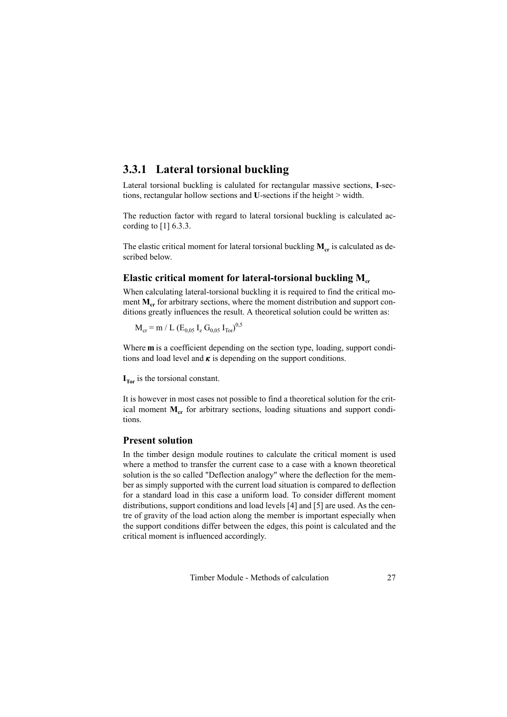## <span id="page-26-0"></span>**3.3.1 Lateral torsional buckling**

Lateral torsional buckling is calulated for rectangular massive sections, **I**-sections, rectangular hollow sections and **U**-sections if the height > width.

The reduction factor with regard to lateral torsional buckling is calculated according to  $[1]$  6.3.3.

The elastic critical moment for lateral torsional buckling  $M_{cr}$  is calculated as described below.

#### **Elastic critical moment for lateral-torsional buckling M<sub>c</sub>**

When calculating lateral-torsional buckling it is required to find the critical moment **M<sub>cr</sub>** for arbitrary sections, where the moment distribution and support conditions greatly influences the result. A theoretical solution could be written as:

 $M_{cr}$  = m / L (E<sub>0,05</sub> I<sub>z</sub> G<sub>0,05</sub> I<sub>Tor</sub>)<sup>0,5</sup>

Where **m** is a coefficient depending on the section type, loading, support conditions and load level and  $\kappa$  is depending on the support conditions.

 $\mathbf{I}_{\text{Tor}}$  is the torsional constant.

It is however in most cases not possible to find a theoretical solution for the critical moment **M<sub>cr</sub>** for arbitrary sections, loading situations and support conditions.

#### **Present solution**

In the timber design module routines to calculate the critical moment is used where a method to transfer the current case to a case with a known theoretical solution is the so called "Deflection analogy" where the deflection for the member as simply supported with the current load situation is compared to deflection for a standard load in this case a uniform load. To consider different moment distributions, support conditions and load levels [4] and [5] are used. As the centre of gravity of the load action along the member is important especially when the support conditions differ between the edges, this point is calculated and the critical moment is influenced accordingly.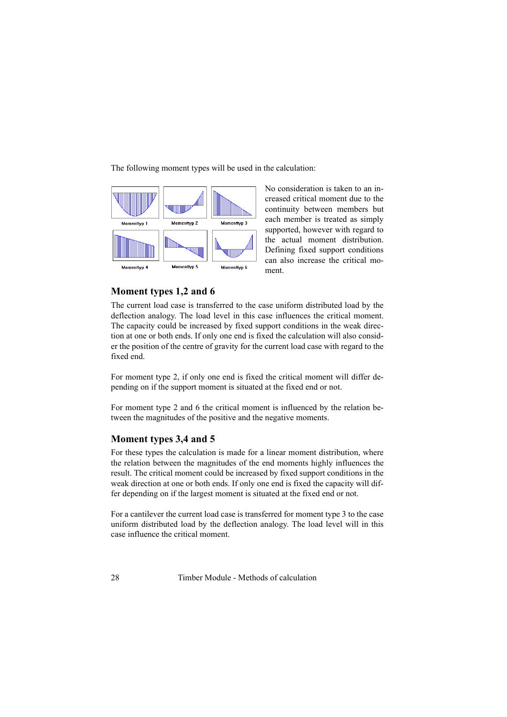The following moment types will be used in the calculation:



No consideration is taken to an increased critical moment due to the continuity between members but each member is treated as simply supported, however with regard to the actual moment distribution. Defining fixed support conditions can also increase the critical moment.

#### **Moment types 1,2 and 6**

The current load case is transferred to the case uniform distributed load by the deflection analogy. The load level in this case influences the critical moment. The capacity could be increased by fixed support conditions in the weak direction at one or both ends. If only one end is fixed the calculation will also consider the position of the centre of gravity for the current load case with regard to the fixed end.

For moment type 2, if only one end is fixed the critical moment will differ depending on if the support moment is situated at the fixed end or not.

For moment type 2 and 6 the critical moment is influenced by the relation between the magnitudes of the positive and the negative moments.

#### **Moment types 3,4 and 5**

For these types the calculation is made for a linear moment distribution, where the relation between the magnitudes of the end moments highly influences the result. The critical moment could be increased by fixed support conditions in the weak direction at one or both ends. If only one end is fixed the capacity will differ depending on if the largest moment is situated at the fixed end or not.

For a cantilever the current load case is transferred for moment type 3 to the case uniform distributed load by the deflection analogy. The load level will in this case influence the critical moment.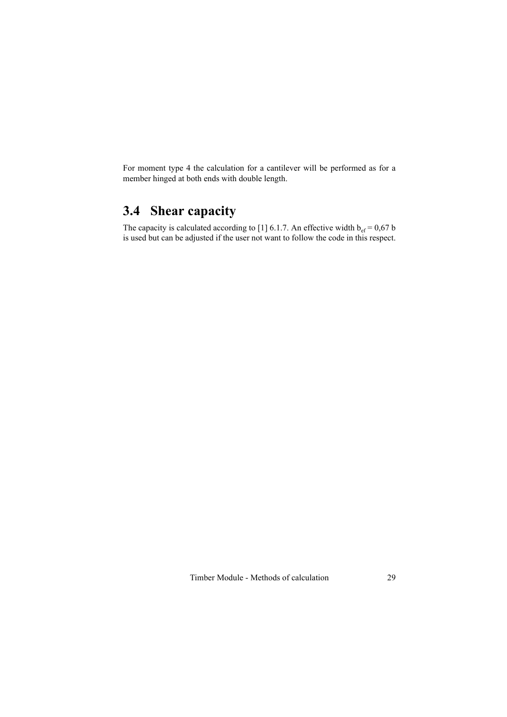<span id="page-28-0"></span>For moment type 4 the calculation for a cantilever will be performed as for a member hinged at both ends with double length.

## **3.4 Shear capacity**

The capacity is calculated according to [1] 6.1.7. An effective width  $b_{\text{ef}} = 0.67$  b is used but can be adjusted if the user not want to follow the code in this respect.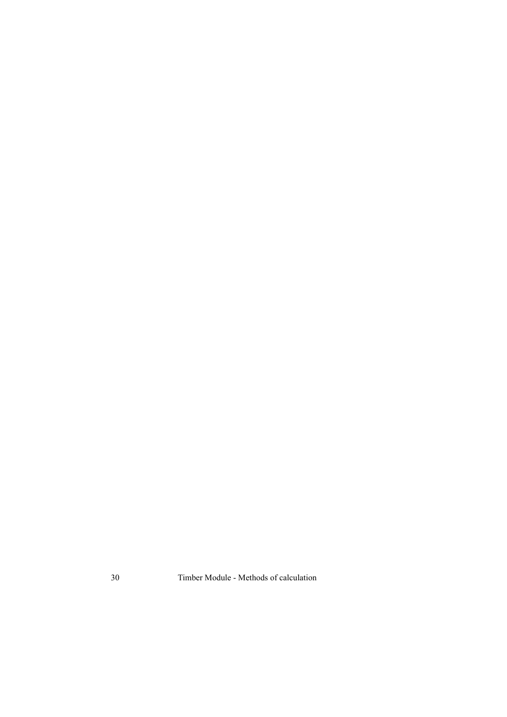30 Timber Module - Methods of calculation